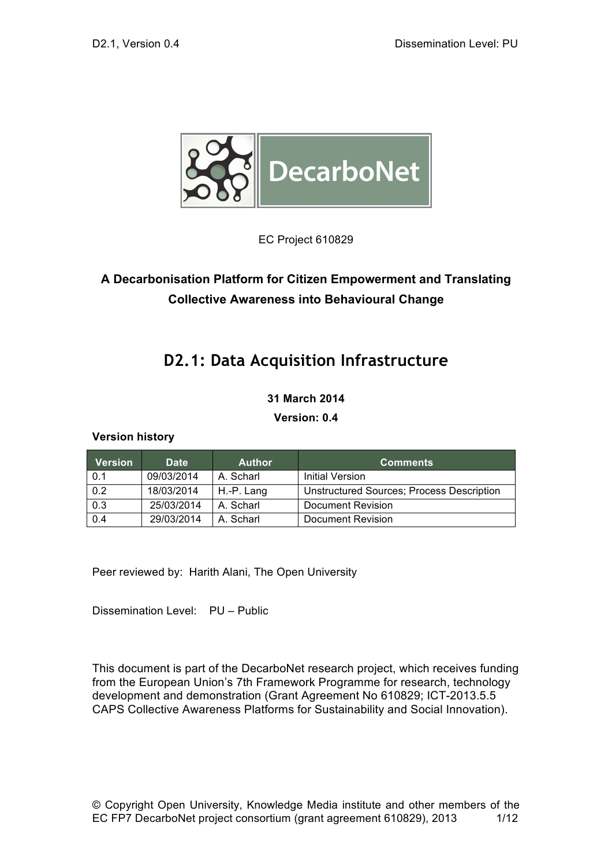

EC Project 610829

## **A Decarbonisation Platform for Citizen Empowerment and Translating Collective Awareness into Behavioural Change**

# **D2.1: Data Acquisition Infrastructure**

#### **31 March 2014**

#### **Version: 0.4**

#### **Version history**

| <b>Version</b> | <b>Date</b> | <b>Author</b> | <b>Comments</b>                                  |
|----------------|-------------|---------------|--------------------------------------------------|
| 0.1            | 09/03/2014  | A. Scharl     | Initial Version                                  |
| 0.2            | 18/03/2014  | H.-P. Lang    | <b>Unstructured Sources; Process Description</b> |
| 0.3            | 25/03/2014  | A. Scharl     | Document Revision                                |
| 0.4            | 29/03/2014  | A. Scharl     | Document Revision                                |

Peer reviewed by: Harith Alani, The Open University

Dissemination Level: PU – Public

This document is part of the DecarboNet research project, which receives funding from the European Union's 7th Framework Programme for research, technology development and demonstration (Grant Agreement No 610829; ICT-2013.5.5 CAPS Collective Awareness Platforms for Sustainability and Social Innovation).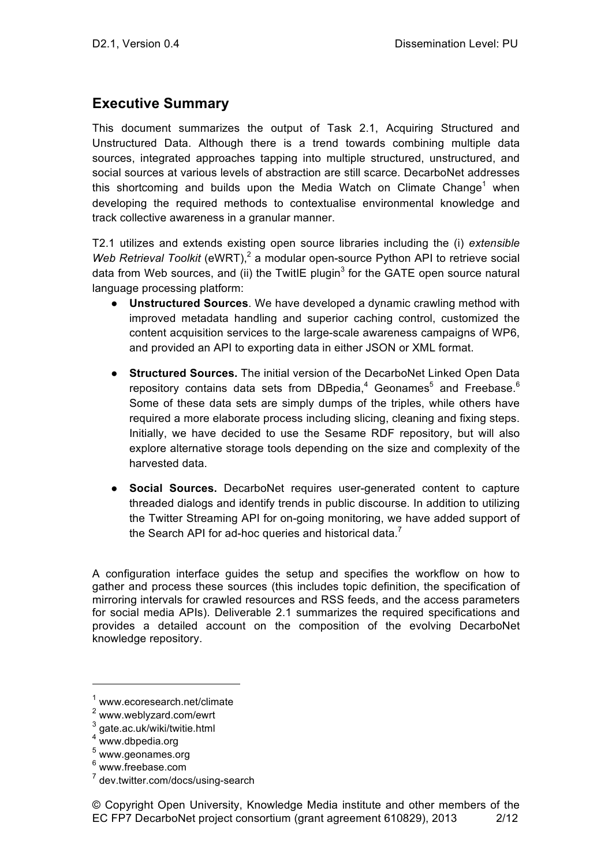### **Executive Summary**

This document summarizes the output of Task 2.1, Acquiring Structured and Unstructured Data. Although there is a trend towards combining multiple data sources, integrated approaches tapping into multiple structured, unstructured, and social sources at various levels of abstraction are still scarce. DecarboNet addresses this shortcoming and builds upon the Media Watch on Climate Change<sup>1</sup> when developing the required methods to contextualise environmental knowledge and track collective awareness in a granular manner.

T2.1 utilizes and extends existing open source libraries including the (i) *extensible Web Retrieval Toolkit* (eWRT),<sup>2</sup> a modular open-source Python API to retrieve social data from Web sources, and (ii) the TwitIE plugin<sup>3</sup> for the GATE open source natural language processing platform:

- **Unstructured Sources**. We have developed a dynamic crawling method with improved metadata handling and superior caching control, customized the content acquisition services to the large-scale awareness campaigns of WP6, and provided an API to exporting data in either JSON or XML format.
- **Structured Sources.** The initial version of the DecarboNet Linked Open Data repository contains data sets from DBpedia, $4$  Geonames<sup>5</sup> and Freebase.<sup>6</sup> Some of these data sets are simply dumps of the triples, while others have required a more elaborate process including slicing, cleaning and fixing steps. Initially, we have decided to use the Sesame RDF repository, but will also explore alternative storage tools depending on the size and complexity of the harvested data.
- **Social Sources.** DecarboNet requires user-generated content to capture threaded dialogs and identify trends in public discourse. In addition to utilizing the Twitter Streaming API for on-going monitoring, we have added support of the Search API for ad-hoc queries and historical data.<sup>7</sup>

A configuration interface guides the setup and specifies the workflow on how to gather and process these sources (this includes topic definition, the specification of mirroring intervals for crawled resources and RSS feeds, and the access parameters for social media APIs). Deliverable 2.1 summarizes the required specifications and provides a detailed account on the composition of the evolving DecarboNet knowledge repository.

© Copyright Open University, Knowledge Media institute and other members of the EC FP7 DecarboNet project consortium (grant agreement 610829), 2013 2/12

<sup>1</sup> www.ecoresearch.net/climate

<sup>2</sup> www.weblyzard.com/ewrt

 $3$  gate.ac.uk/wiki/twitie.html

<sup>4</sup> www.dbpedia.org

<sup>5</sup> www.geonames.org

<sup>6</sup> www.freebase.com

<sup>7</sup> dev.twitter.com/docs/using-search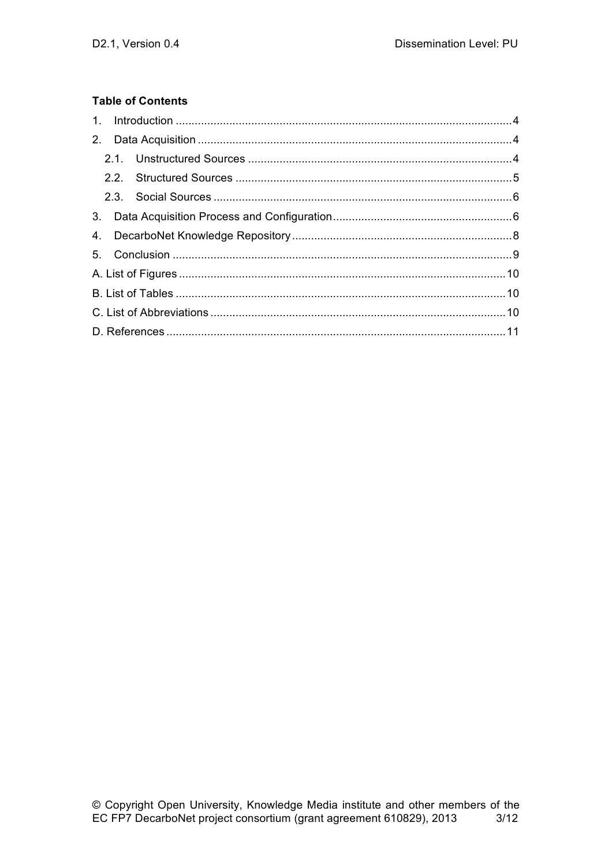#### **Table of Contents**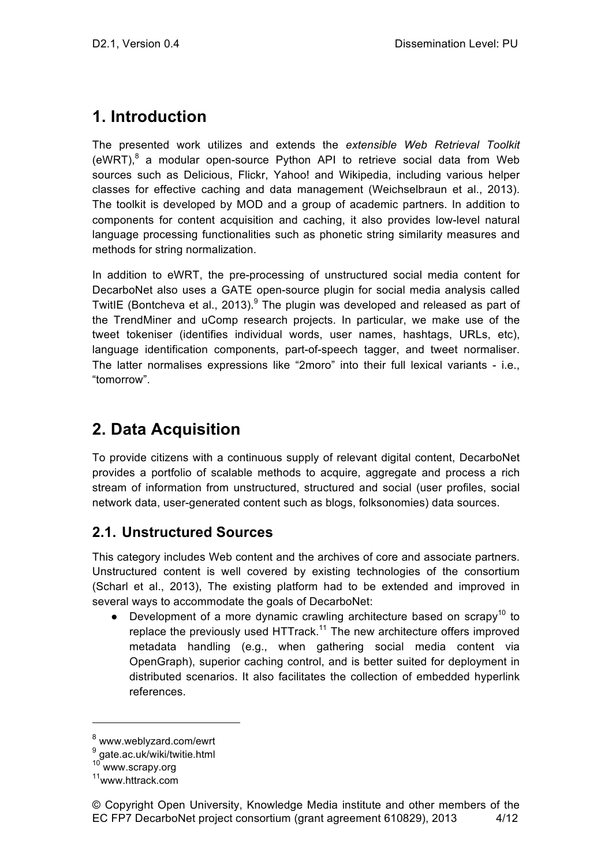# **1. Introduction**

The presented work utilizes and extends the *extensible Web Retrieval Toolkit* (eWRT), $8$  a modular open-source Python API to retrieve social data from Web sources such as Delicious, Flickr, Yahoo! and Wikipedia, including various helper classes for effective caching and data management (Weichselbraun et al., 2013). The toolkit is developed by MOD and a group of academic partners. In addition to components for content acquisition and caching, it also provides low-level natural language processing functionalities such as phonetic string similarity measures and methods for string normalization.

In addition to eWRT, the pre-processing of unstructured social media content for DecarboNet also uses a GATE open-source plugin for social media analysis called TwitIE (Bontcheva et al., 2013). $9$  The plugin was developed and released as part of the TrendMiner and uComp research projects. In particular, we make use of the tweet tokeniser (identifies individual words, user names, hashtags, URLs, etc), language identification components, part-of-speech tagger, and tweet normaliser. The latter normalises expressions like "2moro" into their full lexical variants - i.e., "tomorrow".

# **2. Data Acquisition**

To provide citizens with a continuous supply of relevant digital content, DecarboNet provides a portfolio of scalable methods to acquire, aggregate and process a rich stream of information from unstructured, structured and social (user profiles, social network data, user-generated content such as blogs, folksonomies) data sources.

## **2.1. Unstructured Sources**

This category includes Web content and the archives of core and associate partners. Unstructured content is well covered by existing technologies of the consortium (Scharl et al., 2013), The existing platform had to be extended and improved in several ways to accommodate the goals of DecarboNet:

• Development of a more dynamic crawling architecture based on scrapy<sup>10</sup> to replace the previously used HTTrack.<sup>11</sup> The new architecture offers improved metadata handling (e.g., when gathering social media content via OpenGraph), superior caching control, and is better suited for deployment in distributed scenarios. It also facilitates the collection of embedded hyperlink references.

<sup>8</sup> www.weblyzard.com/ewrt

<sup>9</sup> gate.ac.uk/wiki/twitie.html

<sup>&</sup>lt;sup>10</sup> www.scrapy.org

<sup>&</sup>lt;sup>11</sup>www.httrack.com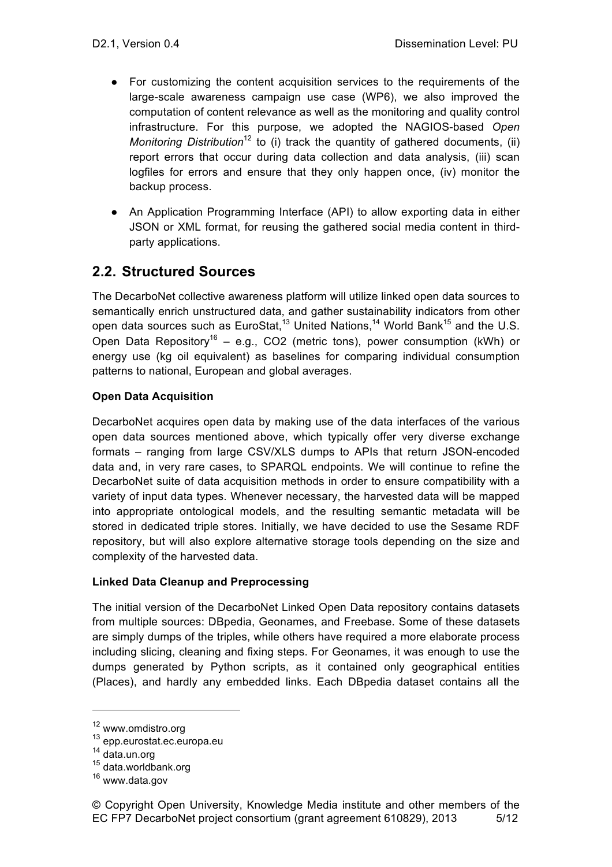- For customizing the content acquisition services to the requirements of the large-scale awareness campaign use case (WP6), we also improved the computation of content relevance as well as the monitoring and quality control infrastructure. For this purpose, we adopted the NAGIOS-based *Open Monitoring Distribution*<sup>12</sup> to (i) track the quantity of gathered documents, (ii) report errors that occur during data collection and data analysis, (iii) scan logfiles for errors and ensure that they only happen once, (iv) monitor the backup process.
- An Application Programming Interface (API) to allow exporting data in either JSON or XML format, for reusing the gathered social media content in thirdparty applications.

## **2.2. Structured Sources**

The DecarboNet collective awareness platform will utilize linked open data sources to semantically enrich unstructured data, and gather sustainability indicators from other open data sources such as EuroStat.<sup>13</sup> United Nations.<sup>14</sup> World Bank<sup>15</sup> and the U.S. Open Data Repository<sup>16</sup> – e.g., CO2 (metric tons), power consumption (kWh) or energy use (kg oil equivalent) as baselines for comparing individual consumption patterns to national, European and global averages.

#### **Open Data Acquisition**

DecarboNet acquires open data by making use of the data interfaces of the various open data sources mentioned above, which typically offer very diverse exchange formats – ranging from large CSV/XLS dumps to APIs that return JSON-encoded data and, in very rare cases, to SPARQL endpoints. We will continue to refine the DecarboNet suite of data acquisition methods in order to ensure compatibility with a variety of input data types. Whenever necessary, the harvested data will be mapped into appropriate ontological models, and the resulting semantic metadata will be stored in dedicated triple stores. Initially, we have decided to use the Sesame RDF repository, but will also explore alternative storage tools depending on the size and complexity of the harvested data.

#### **Linked Data Cleanup and Preprocessing**

The initial version of the DecarboNet Linked Open Data repository contains datasets from multiple sources: DBpedia, Geonames, and Freebase. Some of these datasets are simply dumps of the triples, while others have required a more elaborate process including slicing, cleaning and fixing steps. For Geonames, it was enough to use the dumps generated by Python scripts, as it contained only geographical entities (Places), and hardly any embedded links. Each DBpedia dataset contains all the

<sup>12</sup> www.omdistro.org

<sup>13</sup> epp.eurostat.ec.europa.eu

<sup>14</sup> data.un.org

<sup>15</sup> data.worldbank.org

<sup>16</sup> www.data.gov

<sup>©</sup> Copyright Open University, Knowledge Media institute and other members of the EC FP7 DecarboNet project consortium (grant agreement 610829), 2013 5/12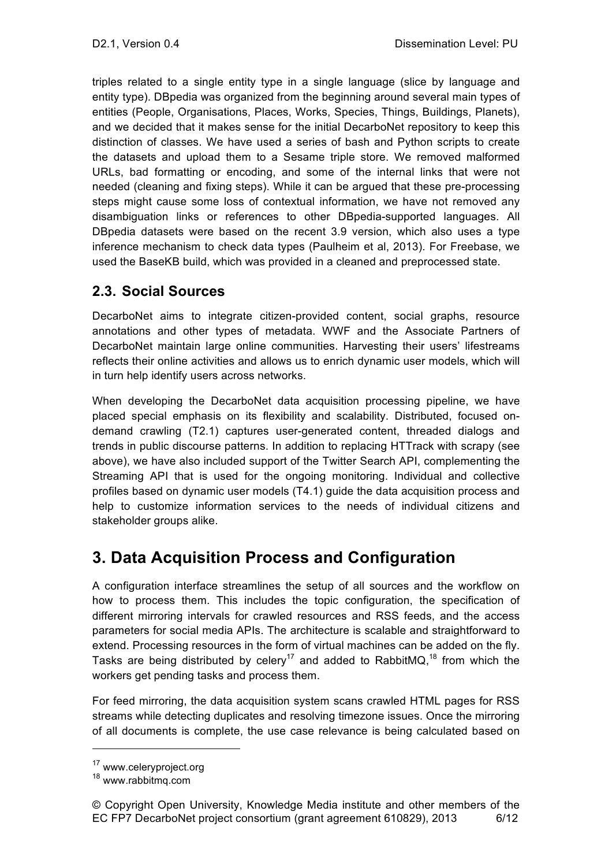triples related to a single entity type in a single language (slice by language and entity type). DBpedia was organized from the beginning around several main types of entities (People, Organisations, Places, Works, Species, Things, Buildings, Planets), and we decided that it makes sense for the initial DecarboNet repository to keep this distinction of classes. We have used a series of bash and Python scripts to create the datasets and upload them to a Sesame triple store. We removed malformed URLs, bad formatting or encoding, and some of the internal links that were not needed (cleaning and fixing steps). While it can be argued that these pre-processing steps might cause some loss of contextual information, we have not removed any disambiguation links or references to other DBpedia-supported languages. All DBpedia datasets were based on the recent 3.9 version, which also uses a type inference mechanism to check data types (Paulheim et al, 2013). For Freebase, we used the BaseKB build, which was provided in a cleaned and preprocessed state.

## **2.3. Social Sources**

DecarboNet aims to integrate citizen-provided content, social graphs, resource annotations and other types of metadata. WWF and the Associate Partners of DecarboNet maintain large online communities. Harvesting their users' lifestreams reflects their online activities and allows us to enrich dynamic user models, which will in turn help identify users across networks.

When developing the DecarboNet data acquisition processing pipeline, we have placed special emphasis on its flexibility and scalability. Distributed, focused ondemand crawling (T2.1) captures user-generated content, threaded dialogs and trends in public discourse patterns. In addition to replacing HTTrack with scrapy (see above), we have also included support of the Twitter Search API, complementing the Streaming API that is used for the ongoing monitoring. Individual and collective profiles based on dynamic user models (T4.1) guide the data acquisition process and help to customize information services to the needs of individual citizens and stakeholder groups alike.

# **3. Data Acquisition Process and Configuration**

A configuration interface streamlines the setup of all sources and the workflow on how to process them. This includes the topic configuration, the specification of different mirroring intervals for crawled resources and RSS feeds, and the access parameters for social media APIs. The architecture is scalable and straightforward to extend. Processing resources in the form of virtual machines can be added on the fly. Tasks are being distributed by celery<sup>17</sup> and added to RabbitMQ,<sup>18</sup> from which the workers get pending tasks and process them.

For feed mirroring, the data acquisition system scans crawled HTML pages for RSS streams while detecting duplicates and resolving timezone issues. Once the mirroring of all documents is complete, the use case relevance is being calculated based on

<sup>&</sup>lt;sup>17</sup> www.celeryproject.org

<sup>18</sup> www.rabbitmq.com

<sup>©</sup> Copyright Open University, Knowledge Media institute and other members of the EC FP7 DecarboNet project consortium (grant agreement 610829), 2013 6/12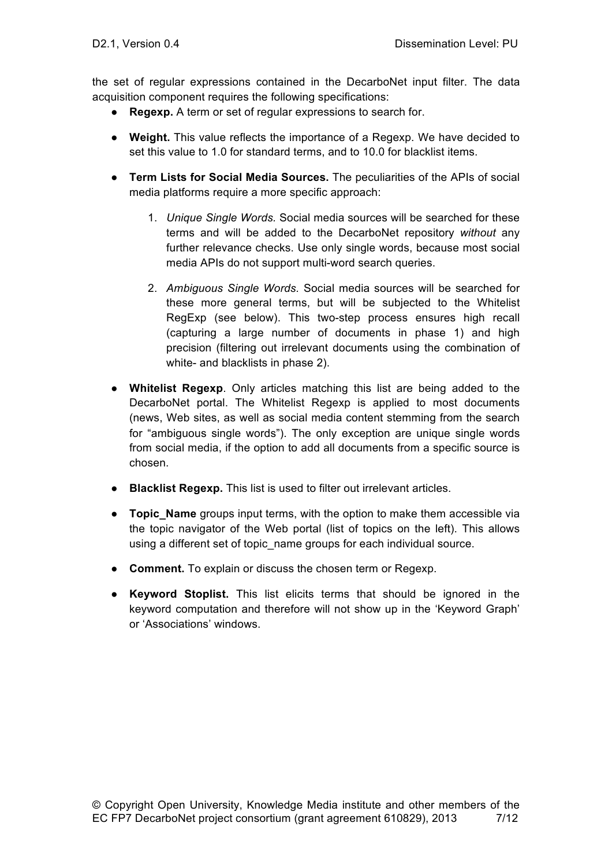the set of regular expressions contained in the DecarboNet input filter. The data acquisition component requires the following specifications:

- **Regexp.** A term or set of regular expressions to search for.
- **Weight.** This value reflects the importance of a Regexp. We have decided to set this value to 1.0 for standard terms, and to 10.0 for blacklist items.
- **Term Lists for Social Media Sources.** The peculiarities of the APIs of social media platforms require a more specific approach:
	- 1. *Unique Single Words.* Social media sources will be searched for these terms and will be added to the DecarboNet repository *without* any further relevance checks. Use only single words, because most social media APIs do not support multi-word search queries.
	- 2. *Ambiguous Single Words.* Social media sources will be searched for these more general terms, but will be subjected to the Whitelist RegExp (see below). This two-step process ensures high recall (capturing a large number of documents in phase 1) and high precision (filtering out irrelevant documents using the combination of white- and blacklists in phase 2).
- **Whitelist Regexp**. Only articles matching this list are being added to the DecarboNet portal. The Whitelist Regexp is applied to most documents (news, Web sites, as well as social media content stemming from the search for "ambiguous single words"). The only exception are unique single words from social media, if the option to add all documents from a specific source is chosen.
- **Blacklist Regexp.** This list is used to filter out irrelevant articles.
- **Topic\_Name** groups input terms, with the option to make them accessible via the topic navigator of the Web portal (list of topics on the left). This allows using a different set of topic\_name groups for each individual source.
- **Comment.** To explain or discuss the chosen term or Regexp.
- **Keyword Stoplist.** This list elicits terms that should be ignored in the keyword computation and therefore will not show up in the 'Keyword Graph' or 'Associations' windows.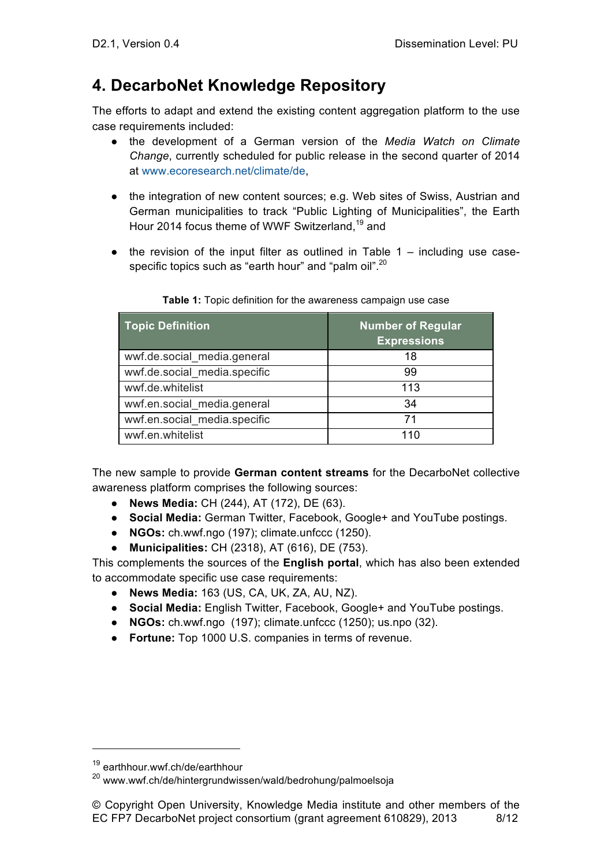# **4. DecarboNet Knowledge Repository**

The efforts to adapt and extend the existing content aggregation platform to the use case requirements included:

- the development of a German version of the *Media Watch on Climate Change*, currently scheduled for public release in the second quarter of 2014 at www.ecoresearch.net/climate/de,
- the integration of new content sources; e.g. Web sites of Swiss, Austrian and German municipalities to track "Public Lighting of Municipalities", the Earth Hour 2014 focus theme of WWF Switzerland.<sup>19</sup> and
- $\bullet$  the revision of the input filter as outlined in Table 1 including use casespecific topics such as "earth hour" and "palm oil".<sup>20</sup>

| <b>Topic Definition</b>      | Number of Regular<br><b>Expressions</b> |
|------------------------------|-----------------------------------------|
| wwf.de.social_media.general  | 18                                      |
| wwf.de.social media.specific | 99                                      |
| wwf.de.whitelist             | 113                                     |
| wwf.en.social_media.general  | 34                                      |
| wwf.en.social media.specific | 71                                      |
| wwf.en.whitelist             | 110                                     |

**Table 1:** Topic definition for the awareness campaign use case

The new sample to provide **German content streams** for the DecarboNet collective awareness platform comprises the following sources:

- **News Media:** CH (244), AT (172), DE (63).
- **Social Media:** German Twitter, Facebook, Google+ and YouTube postings.
- **NGOs:** ch.wwf.ngo (197); climate.unfccc (1250).
- **Municipalities:** CH (2318), AT (616), DE (753).

This complements the sources of the **English portal**, which has also been extended to accommodate specific use case requirements:

- **News Media:** 163 (US, CA, UK, ZA, AU, NZ).
- **Social Media:** English Twitter, Facebook, Google+ and YouTube postings.
- **NGOs:** ch.wwf.ngo (197); climate.unfccc (1250); us.npo (32).
- **Fortune:** Top 1000 U.S. companies in terms of revenue.

<sup>19</sup> earthhour.wwf.ch/de/earthhour

<sup>&</sup>lt;sup>20</sup> www.wwf.ch/de/hintergrundwissen/wald/bedrohung/palmoelsoja

<sup>©</sup> Copyright Open University, Knowledge Media institute and other members of the EC FP7 DecarboNet project consortium (grant agreement 610829), 2013 8/12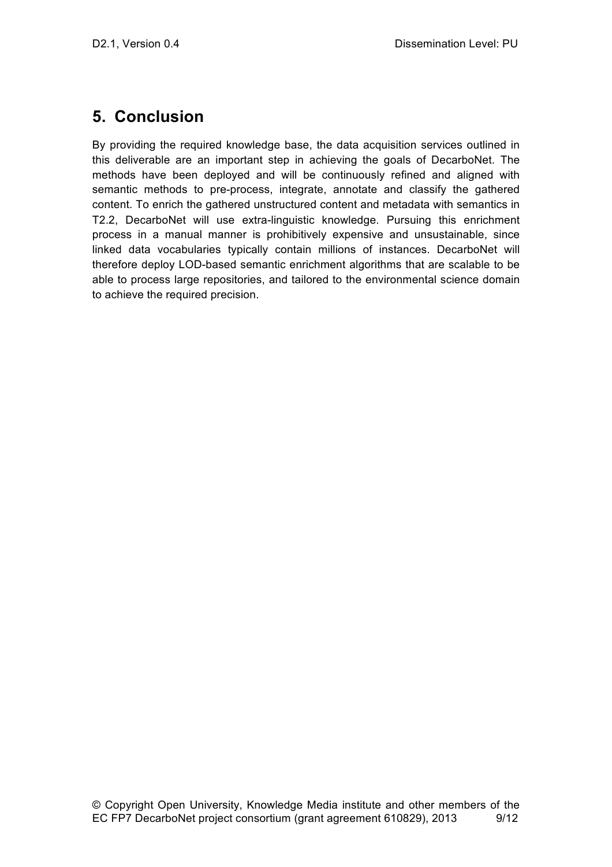## **5. Conclusion**

By providing the required knowledge base, the data acquisition services outlined in this deliverable are an important step in achieving the goals of DecarboNet. The methods have been deployed and will be continuously refined and aligned with semantic methods to pre-process, integrate, annotate and classify the gathered content. To enrich the gathered unstructured content and metadata with semantics in T2.2, DecarboNet will use extra-linguistic knowledge. Pursuing this enrichment process in a manual manner is prohibitively expensive and unsustainable, since linked data vocabularies typically contain millions of instances. DecarboNet will therefore deploy LOD-based semantic enrichment algorithms that are scalable to be able to process large repositories, and tailored to the environmental science domain to achieve the required precision.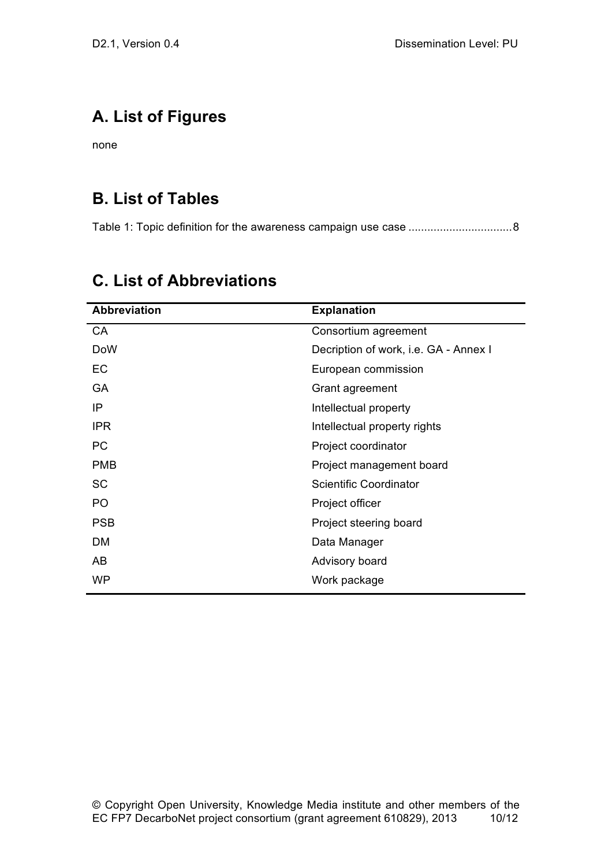# **A. List of Figures**

none

# **B. List of Tables**

Table 1: Topic definition for the awareness campaign use case .................................8

| <b>Abbreviation</b> | <b>Explanation</b>                    |
|---------------------|---------------------------------------|
| CA                  | Consortium agreement                  |
| <b>DoW</b>          | Decription of work, i.e. GA - Annex I |
| EC                  | European commission                   |
| GA                  | Grant agreement                       |
| IP                  | Intellectual property                 |
| <b>IPR</b>          | Intellectual property rights          |
| <b>PC</b>           | Project coordinator                   |
| <b>PMB</b>          | Project management board              |
| SC                  | Scientific Coordinator                |
| PO                  | Project officer                       |
| <b>PSB</b>          | Project steering board                |
| DM                  | Data Manager                          |
| AB                  | Advisory board                        |
| <b>WP</b>           | Work package                          |

# **C. List of Abbreviations**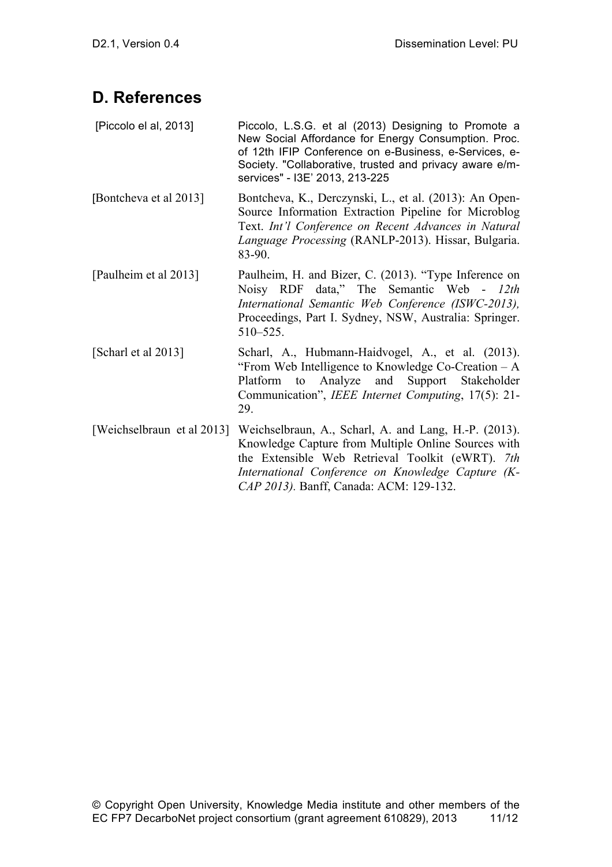## **D. References**

| [Piccolo el al, 2013] | Piccolo, L.S.G. et al (2013) Designing to Promote a     |
|-----------------------|---------------------------------------------------------|
|                       | New Social Affordance for Energy Consumption. Proc.     |
|                       | of 12th IFIP Conference on e-Business, e-Services, e-   |
|                       | Society. "Collaborative, trusted and privacy aware e/m- |
|                       | services" - I3E' 2013, 213-225                          |

[Bontcheva et al 2013] Bontcheva, K., Derczynski, L., et al. (2013): An Open-Source Information Extraction Pipeline for Microblog Text. *Int'l Conference on Recent Advances in Natural Language Processing* (RANLP-2013). Hissar, Bulgaria. 83-90.

- [Paulheim et al 2013] Paulheim, H. and Bizer, C. (2013). "Type Inference on Noisy RDF data," The Semantic Web - *12th International Semantic Web Conference (ISWC-2013),* Proceedings, Part I. Sydney, NSW, Australia: Springer. 510–525.
- [Scharl et al 2013] Scharl, A., Hubmann-Haidvogel, A., et al. (2013). "From Web Intelligence to Knowledge Co-Creation – A Platform to Analyze and Support Stakeholder Communication", *IEEE Internet Computing*, 17(5): 21- 29.
- [Weichselbraun et al 2013] Weichselbraun, A., Scharl, A. and Lang, H.-P. (2013). Knowledge Capture from Multiple Online Sources with the Extensible Web Retrieval Toolkit (eWRT). *7th International Conference on Knowledge Capture (K-CAP 2013).* Banff, Canada: ACM: 129-132.